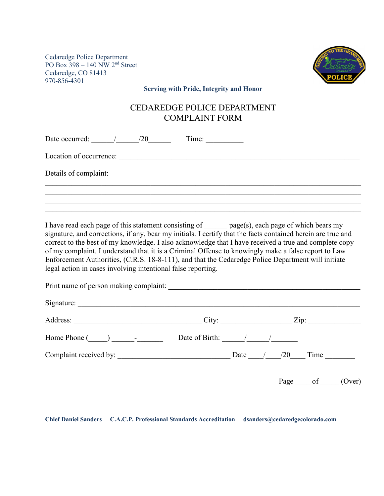Cedaredge Police Department PO Box 398 – 140 NW 2<sup>nd</sup> Street Cedaredge, CO 81413 970-856-4301



**Serving with Pride, Integrity and Honor**

## CEDAREDGE POLICE DEPARTMENT COMPLAINT FORM

| Date occurred: 1 / 20<br>Time:                                                                                                                                                                                                                                                                                                                                                                                                                                                                                                                                                                   |
|--------------------------------------------------------------------------------------------------------------------------------------------------------------------------------------------------------------------------------------------------------------------------------------------------------------------------------------------------------------------------------------------------------------------------------------------------------------------------------------------------------------------------------------------------------------------------------------------------|
| Location of occurrence:                                                                                                                                                                                                                                                                                                                                                                                                                                                                                                                                                                          |
| Details of complaint:                                                                                                                                                                                                                                                                                                                                                                                                                                                                                                                                                                            |
|                                                                                                                                                                                                                                                                                                                                                                                                                                                                                                                                                                                                  |
| I have read each page of this statement consisting of page(s), each page of which bears my<br>signature, and corrections, if any, bear my initials. I certify that the facts contained herein are true and<br>correct to the best of my knowledge. I also acknowledge that I have received a true and complete copy<br>of my complaint. I understand that it is a Criminal Offense to knowingly make a false report to Law<br>Enforcement Authorities, (C.R.S. 18-8-111), and that the Cedaredge Police Department will initiate<br>legal action in cases involving intentional false reporting. |
| Print name of person making complaint:                                                                                                                                                                                                                                                                                                                                                                                                                                                                                                                                                           |
| Signature:                                                                                                                                                                                                                                                                                                                                                                                                                                                                                                                                                                                       |

| Date of Birth: $\frac{1}{2}$ |                        |
|------------------------------|------------------------|
| Date                         | Time<br>/20            |
|                              | Complaint received by: |

Page \_\_\_\_ of \_\_\_\_ (Over)

**Chief Daniel Sanders C.A.C.P. Professional Standards Accreditation dsanders@cedaredgecolorado.com**